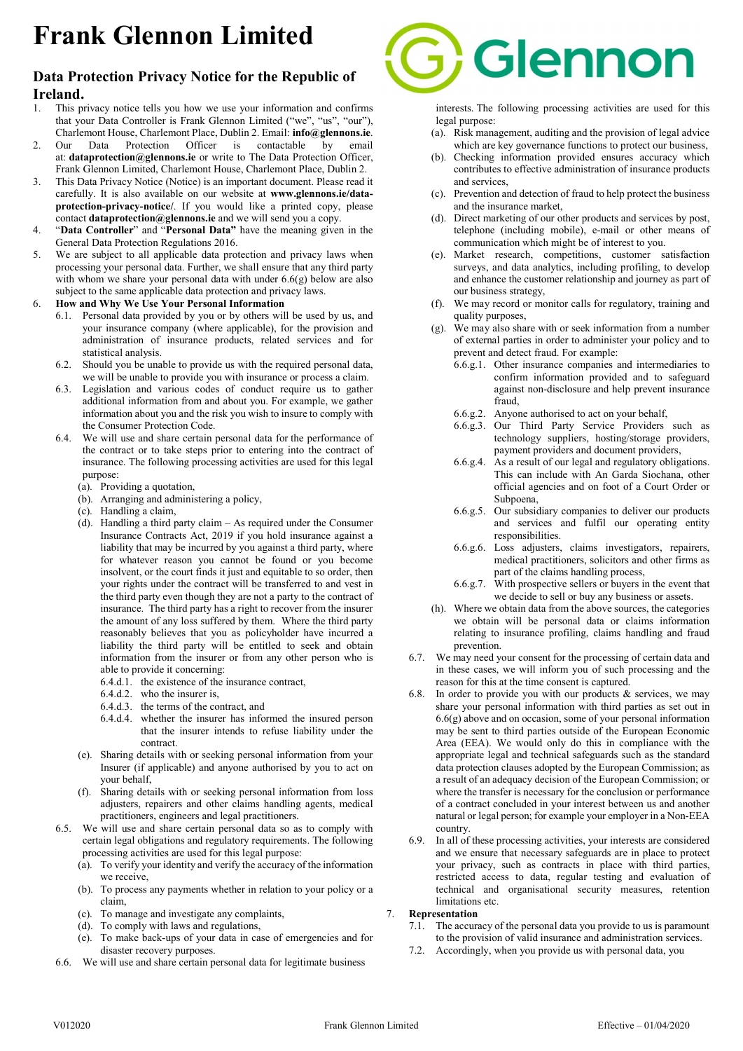# Frank Glennon Limited

## Data Protection Privacy Notice for the Republic of Ireland.

- 1. This privacy notice tells you how we use your information and confirms that your Data Controller is Frank Glennon Limited ("we", "us", "our"), Charlemont House, Charlemont Place, Dublin 2. Email: info@glennons.ie.
- 2. Our Data Protection Officer is contactable by email at: dataprotection@glennons.ie or write to The Data Protection Officer, Frank Glennon Limited, Charlemont House, Charlemont Place, Dublin 2.
- 3. This Data Privacy Notice (Notice) is an important document. Please read it carefully. It is also available on our website at www.glennons.ie/dataprotection-privacy-notice/. If you would like a printed copy, please contact dataprotection@glennons.ie and we will send you a copy.
- 4. "Data Controller" and "Personal Data" have the meaning given in the General Data Protection Regulations 2016.
- 5. We are subject to all applicable data protection and privacy laws when processing your personal data. Further, we shall ensure that any third party with whom we share your personal data with under 6.6(g) below are also subject to the same applicable data protection and privacy laws.

#### 6. How and Why We Use Your Personal Information

- 6.1. Personal data provided by you or by others will be used by us, and your insurance company (where applicable), for the provision and administration of insurance products, related services and for statistical analysis.
- 6.2. Should you be unable to provide us with the required personal data, we will be unable to provide you with insurance or process a claim.
- 6.3. Legislation and various codes of conduct require us to gather additional information from and about you. For example, we gather information about you and the risk you wish to insure to comply with the Consumer Protection Code.
- 6.4. We will use and share certain personal data for the performance of the contract or to take steps prior to entering into the contract of insurance. The following processing activities are used for this legal purpose:
	- (a). Providing a quotation,
	- (b). Arranging and administering a policy,
	- (c). Handling a claim,
	- (d). Handling a third party claim As required under the Consumer Insurance Contracts Act, 2019 if you hold insurance against a liability that may be incurred by you against a third party, where for whatever reason you cannot be found or you become insolvent, or the court finds it just and equitable to so order, then your rights under the contract will be transferred to and vest in the third party even though they are not a party to the contract of insurance. The third party has a right to recover from the insurer the amount of any loss suffered by them. Where the third party reasonably believes that you as policyholder have incurred a liability the third party will be entitled to seek and obtain information from the insurer or from any other person who is able to provide it concerning:
		- 6.4.d.1. the existence of the insurance contract,
		- 6.4.d.2. who the insurer is,
		- 6.4.d.3. the terms of the contract, and
		- 6.4.d.4. whether the insurer has informed the insured person that the insurer intends to refuse liability under the contract.
	- (e). Sharing details with or seeking personal information from your Insurer (if applicable) and anyone authorised by you to act on your behalf,
	- (f). Sharing details with or seeking personal information from loss adjusters, repairers and other claims handling agents, medical practitioners, engineers and legal practitioners.
- 6.5. We will use and share certain personal data so as to comply with certain legal obligations and regulatory requirements. The following processing activities are used for this legal purpose:
	- (a). To verify your identity and verify the accuracy of the information we receive,
	- (b). To process any payments whether in relation to your policy or a claim,
	- (c). To manage and investigate any complaints,
	- (d). To comply with laws and regulations,
	- (e). To make back-ups of your data in case of emergencies and for disaster recovery purposes.
- 6.6. We will use and share certain personal data for legitimate business



interests. The following processing activities are used for this legal purpose:

- (a). Risk management, auditing and the provision of legal advice which are key governance functions to protect our business,
- (b). Checking information provided ensures accuracy which contributes to effective administration of insurance products and services,
- (c). Prevention and detection of fraud to help protect the business and the insurance market,
- (d). Direct marketing of our other products and services by post, telephone (including mobile), e-mail or other means of communication which might be of interest to you.
- (e). Market research, competitions, customer satisfaction surveys, and data analytics, including profiling, to develop and enhance the customer relationship and journey as part of our business strategy,
- (f). We may record or monitor calls for regulatory, training and quality purposes,
- (g). We may also share with or seek information from a number of external parties in order to administer your policy and to prevent and detect fraud. For example:
	- 6.6.g.1. Other insurance companies and intermediaries to confirm information provided and to safeguard against non-disclosure and help prevent insurance fraud,
	- 6.6.g.2. Anyone authorised to act on your behalf,
	- 6.6.g.3. Our Third Party Service Providers such as technology suppliers, hosting/storage providers, payment providers and document providers,
	- 6.6.g.4. As a result of our legal and regulatory obligations. This can include with An Garda Siochana, other official agencies and on foot of a Court Order or Subpoena,
	- 6.6.g.5. Our subsidiary companies to deliver our products and services and fulfil our operating entity responsibilities.
	- 6.6.g.6. Loss adjusters, claims investigators, repairers, medical practitioners, solicitors and other firms as part of the claims handling process,
	- 6.6.g.7. With prospective sellers or buyers in the event that we decide to sell or buy any business or assets.
- (h). Where we obtain data from the above sources, the categories we obtain will be personal data or claims information relating to insurance profiling, claims handling and fraud prevention.
- 6.7. We may need your consent for the processing of certain data and in these cases, we will inform you of such processing and the reason for this at the time consent is captured.
- In order to provide you with our products  $&$  services, we may share your personal information with third parties as set out in 6.6(g) above and on occasion, some of your personal information may be sent to third parties outside of the European Economic Area (EEA). We would only do this in compliance with the appropriate legal and technical safeguards such as the standard data protection clauses adopted by the European Commission; as a result of an adequacy decision of the European Commission; or where the transfer is necessary for the conclusion or performance of a contract concluded in your interest between us and another natural or legal person; for example your employer in a Non-EEA country.
- 6.9. In all of these processing activities, your interests are considered and we ensure that necessary safeguards are in place to protect your privacy, such as contracts in place with third parties, restricted access to data, regular testing and evaluation of technical and organisational security measures, retention limitations etc.

#### 7. Representation

- 7.1. The accuracy of the personal data you provide to us is paramount to the provision of valid insurance and administration services.
- 7.2. Accordingly, when you provide us with personal data, you